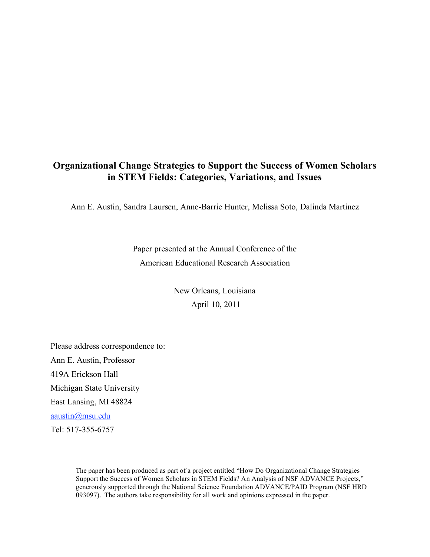# **Organizational Change Strategies to Support the Success of Women Scholars in STEM Fields: Categories, Variations, and Issues**

Ann E. Austin, Sandra Laursen, Anne-Barrie Hunter, Melissa Soto, Dalinda Martinez

Paper presented at the Annual Conference of the American Educational Research Association

> New Orleans, Louisiana April 10, 2011

Please address correspondence to: Ann E. Austin, Professor 419A Erickson Hall Michigan State University East Lansing, MI 48824 aaustin@msu.edu Tel: 517-355-6757

> The paper has been produced as part of a project entitled "How Do Organizational Change Strategies Support the Success of Women Scholars in STEM Fields? An Analysis of NSF ADVANCE Projects," generously supported through the National Science Foundation ADVANCE/PAID Program (NSF HRD 093097). The authors take responsibility for all work and opinions expressed in the paper.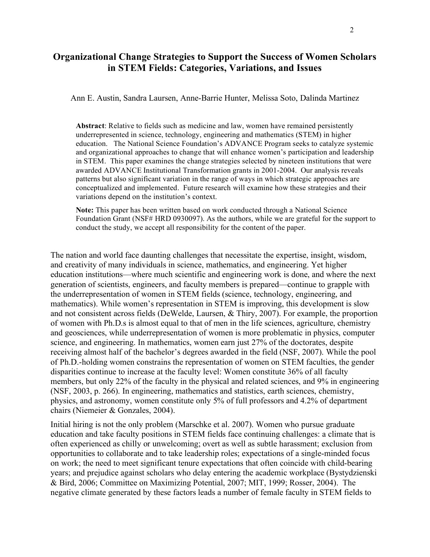# **Organizational Change Strategies to Support the Success of Women Scholars in STEM Fields: Categories, Variations, and Issues**

Ann E. Austin, Sandra Laursen, Anne-Barrie Hunter, Melissa Soto, Dalinda Martinez

**Abstract**: Relative to fields such as medicine and law, women have remained persistently underrepresented in science, technology, engineering and mathematics (STEM) in higher education. The National Science Foundation's ADVANCE Program seeks to catalyze systemic and organizational approaches to change that will enhance women's participation and leadership in STEM. This paper examines the change strategies selected by nineteen institutions that were awarded ADVANCE Institutional Transformation grants in 2001-2004. Our analysis reveals patterns but also significant variation in the range of ways in which strategic approaches are conceptualized and implemented. Future research will examine how these strategies and their variations depend on the institution's context.

**Note:** This paper has been written based on work conducted through a National Science Foundation Grant (NSF# HRD 0930097). As the authors, while we are grateful for the support to conduct the study, we accept all responsibility for the content of the paper.

The nation and world face daunting challenges that necessitate the expertise, insight, wisdom, and creativity of many individuals in science, mathematics, and engineering. Yet higher education institutions—where much scientific and engineering work is done, and where the next generation of scientists, engineers, and faculty members is prepared—continue to grapple with the underrepresentation of women in STEM fields (science, technology, engineering, and mathematics). While women's representation in STEM is improving, this development is slow and not consistent across fields (DeWelde, Laursen, & Thiry, 2007). For example, the proportion of women with Ph.D.s is almost equal to that of men in the life sciences, agriculture, chemistry and geosciences, while underrepresentation of women is more problematic in physics, computer science, and engineering. In mathematics, women earn just 27% of the doctorates, despite receiving almost half of the bachelor's degrees awarded in the field (NSF, 2007). While the pool of Ph.D.-holding women constrains the representation of women on STEM faculties, the gender disparities continue to increase at the faculty level: Women constitute 36% of all faculty members, but only 22% of the faculty in the physical and related sciences, and 9% in engineering (NSF, 2003, p. 266). In engineering, mathematics and statistics, earth sciences, chemistry, physics, and astronomy, women constitute only 5% of full professors and 4.2% of department chairs (Niemeier & Gonzales, 2004).

Initial hiring is not the only problem (Marschke et al. 2007). Women who pursue graduate education and take faculty positions in STEM fields face continuing challenges: a climate that is often experienced as chilly or unwelcoming; overt as well as subtle harassment; exclusion from opportunities to collaborate and to take leadership roles; expectations of a single-minded focus on work; the need to meet significant tenure expectations that often coincide with child-bearing years; and prejudice against scholars who delay entering the academic workplace (Bystydzienski & Bird, 2006; Committee on Maximizing Potential, 2007; MIT, 1999; Rosser, 2004). The negative climate generated by these factors leads a number of female faculty in STEM fields to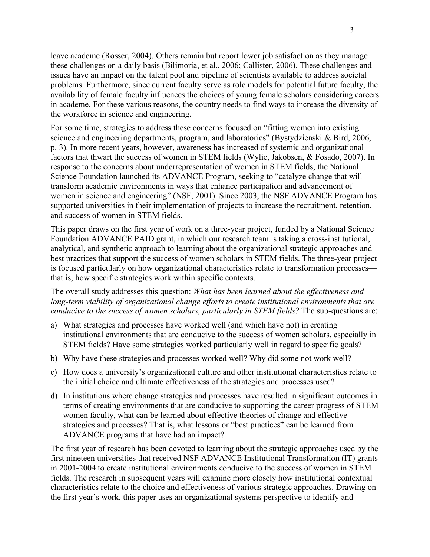leave academe (Rosser, 2004). Others remain but report lower job satisfaction as they manage these challenges on a daily basis (Bilimoria, et al., 2006; Callister, 2006). These challenges and issues have an impact on the talent pool and pipeline of scientists available to address societal problems. Furthermore, since current faculty serve as role models for potential future faculty, the availability of female faculty influences the choices of young female scholars considering careers in academe. For these various reasons, the country needs to find ways to increase the diversity of the workforce in science and engineering.

For some time, strategies to address these concerns focused on "fitting women into existing science and engineering departments, program, and laboratories" (Bystydzienski & Bird, 2006, p. 3). In more recent years, however, awareness has increased of systemic and organizational factors that thwart the success of women in STEM fields (Wylie, Jakobsen, & Fosado, 2007). In response to the concerns about underrepresentation of women in STEM fields, the National Science Foundation launched its ADVANCE Program, seeking to "catalyze change that will transform academic environments in ways that enhance participation and advancement of women in science and engineering" (NSF, 2001). Since 2003, the NSF ADVANCE Program has supported universities in their implementation of projects to increase the recruitment, retention, and success of women in STEM fields.

This paper draws on the first year of work on a three-year project, funded by a National Science Foundation ADVANCE PAID grant, in which our research team is taking a cross-institutional, analytical, and synthetic approach to learning about the organizational strategic approaches and best practices that support the success of women scholars in STEM fields. The three-year project is focused particularly on how organizational characteristics relate to transformation processes that is, how specific strategies work within specific contexts.

The overall study addresses this question: *What has been learned about the effectiveness and long-term viability of organizational change efforts to create institutional environments that are conducive to the success of women scholars, particularly in STEM fields?* The sub-questions are:

- a) What strategies and processes have worked well (and which have not) in creating institutional environments that are conducive to the success of women scholars, especially in STEM fields? Have some strategies worked particularly well in regard to specific goals?
- b) Why have these strategies and processes worked well? Why did some not work well?
- c) How does a university's organizational culture and other institutional characteristics relate to the initial choice and ultimate effectiveness of the strategies and processes used?
- d) In institutions where change strategies and processes have resulted in significant outcomes in terms of creating environments that are conducive to supporting the career progress of STEM women faculty, what can be learned about effective theories of change and effective strategies and processes? That is, what lessons or "best practices" can be learned from ADVANCE programs that have had an impact?

The first year of research has been devoted to learning about the strategic approaches used by the first nineteen universities that received NSF ADVANCE Institutional Transformation (IT) grants in 2001-2004 to create institutional environments conducive to the success of women in STEM fields. The research in subsequent years will examine more closely how institutional contextual characteristics relate to the choice and effectiveness of various strategic approaches. Drawing on the first year's work, this paper uses an organizational systems perspective to identify and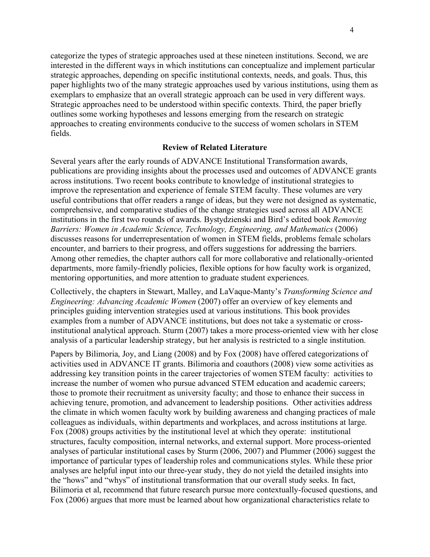categorize the types of strategic approaches used at these nineteen institutions. Second, we are interested in the different ways in which institutions can conceptualize and implement particular strategic approaches, depending on specific institutional contexts, needs, and goals. Thus, this paper highlights two of the many strategic approaches used by various institutions, using them as exemplars to emphasize that an overall strategic approach can be used in very different ways. Strategic approaches need to be understood within specific contexts. Third, the paper briefly outlines some working hypotheses and lessons emerging from the research on strategic approaches to creating environments conducive to the success of women scholars in STEM fields.

#### **Review of Related Literature**

Several years after the early rounds of ADVANCE Institutional Transformation awards, publications are providing insights about the processes used and outcomes of ADVANCE grants across institutions. Two recent books contribute to knowledge of institutional strategies to improve the representation and experience of female STEM faculty. These volumes are very useful contributions that offer readers a range of ideas, but they were not designed as systematic, comprehensive, and comparative studies of the change strategies used across all ADVANCE institutions in the first two rounds of awards. Bystydzienski and Bird's edited book *Removing Barriers: Women in Academic Science, Technology, Engineering, and Mathematics* (2006) discusses reasons for underrepresentation of women in STEM fields, problems female scholars encounter, and barriers to their progress, and offers suggestions for addressing the barriers. Among other remedies, the chapter authors call for more collaborative and relationally-oriented departments, more family-friendly policies, flexible options for how faculty work is organized, mentoring opportunities, and more attention to graduate student experiences.

Collectively, the chapters in Stewart, Malley, and LaVaque-Manty's *Transforming Science and Engineering: Advancing Academic Women* (2007) offer an overview of key elements and principles guiding intervention strategies used at various institutions. This book provides examples from a number of ADVANCE institutions, but does not take a systematic or crossinstitutional analytical approach. Sturm (2007) takes a more process-oriented view with her close analysis of a particular leadership strategy, but her analysis is restricted to a single institution.

Papers by Bilimoria, Joy, and Liang (2008) and by Fox (2008) have offered categorizations of activities used in ADVANCE IT grants. Bilimoria and coauthors (2008) view some activities as addressing key transition points in the career trajectories of women STEM faculty: activities to increase the number of women who pursue advanced STEM education and academic careers; those to promote their recruitment as university faculty; and those to enhance their success in achieving tenure, promotion, and advancement to leadership positions. Other activities address the climate in which women faculty work by building awareness and changing practices of male colleagues as individuals, within departments and workplaces, and across institutions at large. Fox (2008) groups activities by the institutional level at which they operate: institutional structures, faculty composition, internal networks, and external support. More process-oriented analyses of particular institutional cases by Sturm (2006, 2007) and Plummer (2006) suggest the importance of particular types of leadership roles and communications styles. While these prior analyses are helpful input into our three-year study, they do not yield the detailed insights into the "hows" and "whys" of institutional transformation that our overall study seeks. In fact, Bilimoria et al, recommend that future research pursue more contextually-focused questions, and Fox (2006) argues that more must be learned about how organizational characteristics relate to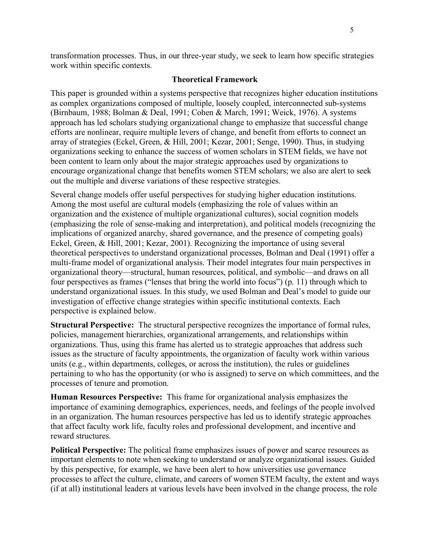transformation processes. Thus, in our three-year study, we seek to learn how specific strategies work within specific contexts.

#### **Theoretical Framework**

This paper is grounded within a systems perspective that recognizes higher education institutions as complex organizations composed of multiple, loosely coupled, interconnected sub-systems (Birnbaum, 1988; Bolman & Deal, 1991; Cohen & March, 1991; Weick, 1976). A systems approach has led scholars studying organizational change to emphasize that successful change efforts are nonlinear, require multiple levers of change, and benefit from efforts to connect an array of strategies (Eckel, Green, & Hill, 2001; Kezar, 2001; Senge, 1990). Thus, in studying organizations seeking to enhance the success of women scholars in STEM fields, we have not been content to learn only about the major strategic approaches used by organizations to encourage organizational change that benefits women STEM scholars; we also are alert to seek out the multiple and diverse variations of these respective strategies.

Several change models offer useful perspectives for studying higher education institutions. Among the most useful are cultural models (emphasizing the role of values within an organization and the existence of multiple organizational cultures), social cognition models (emphasizing the role of sense-making and interpretation), and political models (recognizing the implications of organized anarchy, shared governance, and the presence of competing goals) Eckel, Green, & Hill, 2001; Kezar, 2001). Recognizing the importance of using several theoretical perspectives to understand organizational processes, Bolman and Deal (1991) offer a multi-frame model of organizational analysis. Their model integrates four main perspectives in organizational theory—structural, human resources, political, and symbolic—and draws on all four perspectives as frames ("lenses that bring the world into focus") (p. 11) through which to understand organizational issues. In this study, we used Bolman and Deal's model to guide our investigation of effective change strategies within specific institutional contexts. Each perspective is explained below.

**Structural Perspective:** The structural perspective recognizes the importance of formal rules, policies, management hierarchies, organizational arrangements, and relationships within organizations. Thus, using this frame has alerted us to strategic approaches that address such issues as the structure of faculty appointments, the organization of faculty work within various units (e.g., within departments, colleges, or across the institution), the rules or guidelines pertaining to who has the opportunity (or who is assigned) to serve on which committees, and the processes of tenure and promotion.

**Human Resources Perspective:** This frame for organizational analysis emphasizes the importance of examining demographics, experiences, needs, and feelings of the people involved in an organization. The human resources perspective has led us to identify strategic approaches that affect faculty work life, faculty roles and professional development, and incentive and reward structures.

**Political Perspective:** The political frame emphasizes issues of power and scarce resources as important elements to note when seeking to understand or analyze organizational issues. Guided by this perspective, for example, we have been alert to how universities use governance processes to affect the culture, climate, and careers of women STEM faculty, the extent and ways (if at all) institutional leaders at various levels have been involved in the change process, the role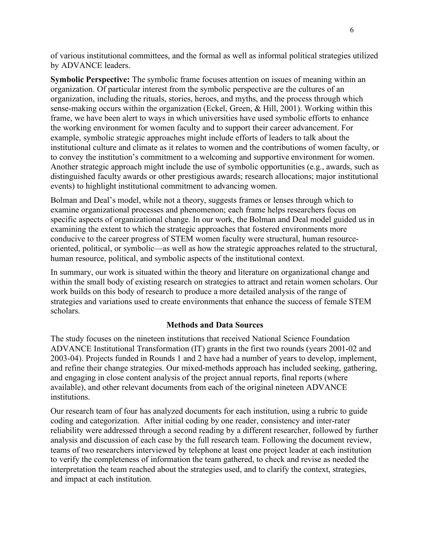of various institutional committees, and the formal as well as informal political strategies utilized by ADVANCE leaders.

**Symbolic Perspective:** The symbolic frame focuses attention on issues of meaning within an organization. Of particular interest from the symbolic perspective are the cultures of an organization, including the rituals, stories, heroes, and myths, and the process through which sense-making occurs within the organization (Eckel, Green, & Hill, 2001). Working within this frame, we have been alert to ways in which universities have used symbolic efforts to enhance the working environment for women faculty and to support their career advancement. For example, symbolic strategic approaches might include efforts of leaders to talk about the institutional culture and climate as it relates to women and the contributions of women faculty, or to convey the institution's commitment to a welcoming and supportive environment for women. Another strategic approach might include the use of symbolic opportunities (e.g., awards, such as distinguished faculty awards or other prestigious awards; research allocations; major institutional events) to highlight institutional commitment to advancing women.

Bolman and Deal's model, while not a theory, suggests frames or lenses through which to examine organizational processes and phenomenon; each frame helps researchers focus on specific aspects of organizational change. In our work, the Bolman and Deal model guided us in examining the extent to which the strategic approaches that fostered environments more conducive to the career progress of STEM women faculty were structural, human resourceoriented, political, or symbolic—as well as how the strategic approaches related to the structural, human resource, political, and symbolic aspects of the institutional context.

In summary, our work is situated within the theory and literature on organizational change and within the small body of existing research on strategies to attract and retain women scholars. Our work builds on this body of research to produce a more detailed analysis of the range of strategies and variations used to create environments that enhance the success of female STEM scholars.

## **Methods and Data Sources**

The study focuses on the nineteen institutions that received National Science Foundation ADVANCE Institutional Transformation (IT) grants in the first two rounds (years 2001-02 and 2003-04). Projects funded in Rounds 1 and 2 have had a number of years to develop, implement, and refine their change strategies. Our mixed-methods approach has included seeking, gathering, and engaging in close content analysis of the project annual reports, final reports (where available), and other relevant documents from each of the original nineteen ADVANCE institutions.

Our research team of four has analyzed documents for each institution, using a rubric to guide coding and categorization. After initial coding by one reader, consistency and inter-rater reliability were addressed through a second reading by a different researcher, followed by further analysis and discussion of each case by the full research team. Following the document review, teams of two researchers interviewed by telephone at least one project leader at each institution to verify the completeness of information the team gathered, to check and revise as needed the interpretation the team reached about the strategies used, and to clarify the context, strategies, and impact at each institution.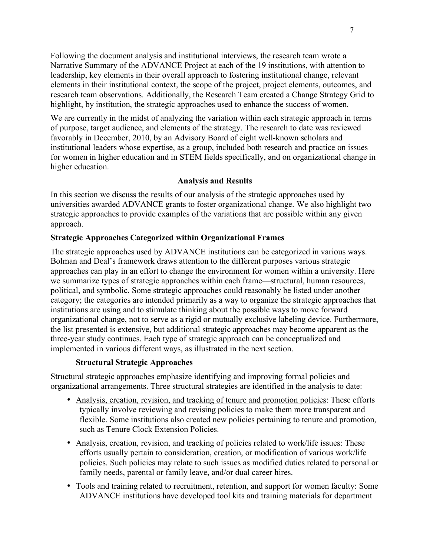Following the document analysis and institutional interviews, the research team wrote a Narrative Summary of the ADVANCE Project at each of the 19 institutions, with attention to leadership, key elements in their overall approach to fostering institutional change, relevant elements in their institutional context, the scope of the project, project elements, outcomes, and research team observations. Additionally, the Research Team created a Change Strategy Grid to highlight, by institution, the strategic approaches used to enhance the success of women.

We are currently in the midst of analyzing the variation within each strategic approach in terms of purpose, target audience, and elements of the strategy. The research to date was reviewed favorably in December, 2010, by an Advisory Board of eight well-known scholars and institutional leaders whose expertise, as a group, included both research and practice on issues for women in higher education and in STEM fields specifically, and on organizational change in higher education.

## **Analysis and Results**

In this section we discuss the results of our analysis of the strategic approaches used by universities awarded ADVANCE grants to foster organizational change. We also highlight two strategic approaches to provide examples of the variations that are possible within any given approach.

## **Strategic Approaches Categorized within Organizational Frames**

The strategic approaches used by ADVANCE institutions can be categorized in various ways. Bolman and Deal's framework draws attention to the different purposes various strategic approaches can play in an effort to change the environment for women within a university. Here we summarize types of strategic approaches within each frame—structural, human resources, political, and symbolic. Some strategic approaches could reasonably be listed under another category; the categories are intended primarily as a way to organize the strategic approaches that institutions are using and to stimulate thinking about the possible ways to move forward organizational change, not to serve as a rigid or mutually exclusive labeling device. Furthermore, the list presented is extensive, but additional strategic approaches may become apparent as the three-year study continues. Each type of strategic approach can be conceptualized and implemented in various different ways, as illustrated in the next section.

#### **Structural Strategic Approaches**

Structural strategic approaches emphasize identifying and improving formal policies and organizational arrangements. Three structural strategies are identified in the analysis to date:

- Analysis, creation, revision, and tracking of tenure and promotion policies: These efforts typically involve reviewing and revising policies to make them more transparent and flexible. Some institutions also created new policies pertaining to tenure and promotion, such as Tenure Clock Extension Policies.
- Analysis, creation, revision, and tracking of policies related to work/life issues: These efforts usually pertain to consideration, creation, or modification of various work/life policies. Such policies may relate to such issues as modified duties related to personal or family needs, parental or family leave, and/or dual career hires.
- Tools and training related to recruitment, retention, and support for women faculty: Some ADVANCE institutions have developed tool kits and training materials for department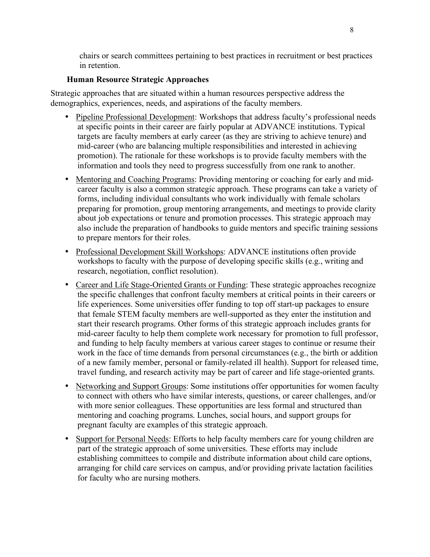chairs or search committees pertaining to best practices in recruitment or best practices in retention.

## **Human Resource Strategic Approaches**

Strategic approaches that are situated within a human resources perspective address the demographics, experiences, needs, and aspirations of the faculty members.

- Pipeline Professional Development: Workshops that address faculty's professional needs at specific points in their career are fairly popular at ADVANCE institutions. Typical targets are faculty members at early career (as they are striving to achieve tenure) and mid-career (who are balancing multiple responsibilities and interested in achieving promotion). The rationale for these workshops is to provide faculty members with the information and tools they need to progress successfully from one rank to another.
- Mentoring and Coaching Programs: Providing mentoring or coaching for early and midcareer faculty is also a common strategic approach. These programs can take a variety of forms, including individual consultants who work individually with female scholars preparing for promotion, group mentoring arrangements, and meetings to provide clarity about job expectations or tenure and promotion processes. This strategic approach may also include the preparation of handbooks to guide mentors and specific training sessions to prepare mentors for their roles.
- Professional Development Skill Workshops: ADVANCE institutions often provide workshops to faculty with the purpose of developing specific skills (e.g., writing and research, negotiation, conflict resolution).
- Career and Life Stage-Oriented Grants or Funding: These strategic approaches recognize the specific challenges that confront faculty members at critical points in their careers or life experiences. Some universities offer funding to top off start-up packages to ensure that female STEM faculty members are well-supported as they enter the institution and start their research programs. Other forms of this strategic approach includes grants for mid-career faculty to help them complete work necessary for promotion to full professor, and funding to help faculty members at various career stages to continue or resume their work in the face of time demands from personal circumstances (e.g., the birth or addition of a new family member, personal or family-related ill health). Support for released time, travel funding, and research activity may be part of career and life stage-oriented grants.
- Networking and Support Groups: Some institutions offer opportunities for women faculty to connect with others who have similar interests, questions, or career challenges, and/or with more senior colleagues. These opportunities are less formal and structured than mentoring and coaching programs. Lunches, social hours, and support groups for pregnant faculty are examples of this strategic approach.
- Support for Personal Needs: Efforts to help faculty members care for young children are part of the strategic approach of some universities. These efforts may include establishing committees to compile and distribute information about child care options, arranging for child care services on campus, and/or providing private lactation facilities for faculty who are nursing mothers.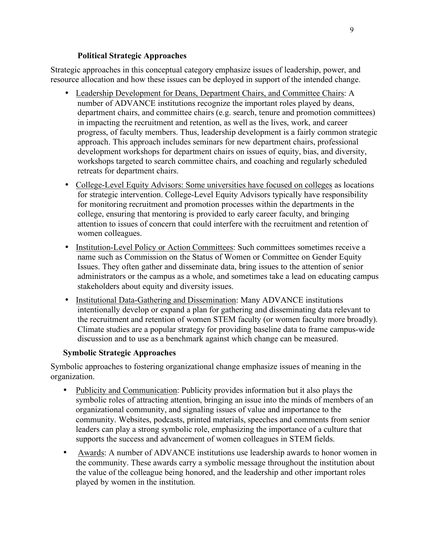#### **Political Strategic Approaches**

Strategic approaches in this conceptual category emphasize issues of leadership, power, and resource allocation and how these issues can be deployed in support of the intended change.

- Leadership Development for Deans, Department Chairs, and Committee Chairs: A number of ADVANCE institutions recognize the important roles played by deans, department chairs, and committee chairs (e.g. search, tenure and promotion committees) in impacting the recruitment and retention, as well as the lives, work, and career progress, of faculty members. Thus, leadership development is a fairly common strategic approach. This approach includes seminars for new department chairs, professional development workshops for department chairs on issues of equity, bias, and diversity, workshops targeted to search committee chairs, and coaching and regularly scheduled retreats for department chairs.
- College-Level Equity Advisors: Some universities have focused on colleges as locations for strategic intervention. College-Level Equity Advisors typically have responsibility for monitoring recruitment and promotion processes within the departments in the college, ensuring that mentoring is provided to early career faculty, and bringing attention to issues of concern that could interfere with the recruitment and retention of women colleagues.
- Institution-Level Policy or Action Committees: Such committees sometimes receive a name such as Commission on the Status of Women or Committee on Gender Equity Issues. They often gather and disseminate data, bring issues to the attention of senior administrators or the campus as a whole, and sometimes take a lead on educating campus stakeholders about equity and diversity issues.
- Institutional Data-Gathering and Dissemination: Many ADVANCE institutions intentionally develop or expand a plan for gathering and disseminating data relevant to the recruitment and retention of women STEM faculty (or women faculty more broadly). Climate studies are a popular strategy for providing baseline data to frame campus-wide discussion and to use as a benchmark against which change can be measured.

## **Symbolic Strategic Approaches**

Symbolic approaches to fostering organizational change emphasize issues of meaning in the organization.

- Publicity and Communication: Publicity provides information but it also plays the symbolic roles of attracting attention, bringing an issue into the minds of members of an organizational community, and signaling issues of value and importance to the community. Websites, podcasts, printed materials, speeches and comments from senior leaders can play a strong symbolic role, emphasizing the importance of a culture that supports the success and advancement of women colleagues in STEM fields.
- Awards: A number of ADVANCE institutions use leadership awards to honor women in the community. These awards carry a symbolic message throughout the institution about the value of the colleague being honored, and the leadership and other important roles played by women in the institution.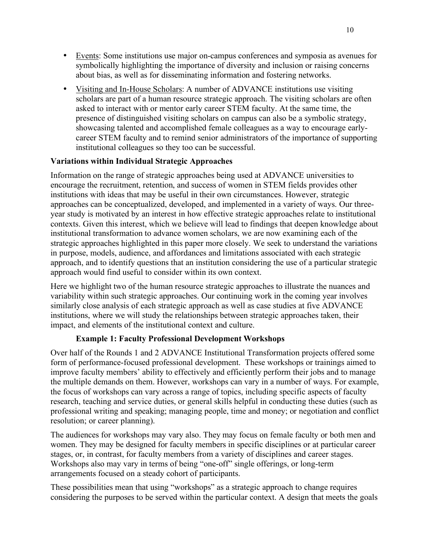- Events: Some institutions use major on-campus conferences and symposia as avenues for symbolically highlighting the importance of diversity and inclusion or raising concerns about bias, as well as for disseminating information and fostering networks.
- Visiting and In-House Scholars: A number of ADVANCE institutions use visiting scholars are part of a human resource strategic approach. The visiting scholars are often asked to interact with or mentor early career STEM faculty. At the same time, the presence of distinguished visiting scholars on campus can also be a symbolic strategy, showcasing talented and accomplished female colleagues as a way to encourage earlycareer STEM faculty and to remind senior administrators of the importance of supporting institutional colleagues so they too can be successful.

# **Variations within Individual Strategic Approaches**

Information on the range of strategic approaches being used at ADVANCE universities to encourage the recruitment, retention, and success of women in STEM fields provides other institutions with ideas that may be useful in their own circumstances. However, strategic approaches can be conceptualized, developed, and implemented in a variety of ways. Our threeyear study is motivated by an interest in how effective strategic approaches relate to institutional contexts. Given this interest, which we believe will lead to findings that deepen knowledge about institutional transformation to advance women scholars, we are now examining each of the strategic approaches highlighted in this paper more closely. We seek to understand the variations in purpose, models, audience, and affordances and limitations associated with each strategic approach, and to identify questions that an institution considering the use of a particular strategic approach would find useful to consider within its own context.

Here we highlight two of the human resource strategic approaches to illustrate the nuances and variability within such strategic approaches. Our continuing work in the coming year involves similarly close analysis of each strategic approach as well as case studies at five ADVANCE institutions, where we will study the relationships between strategic approaches taken, their impact, and elements of the institutional context and culture.

## **Example 1: Faculty Professional Development Workshops**

Over half of the Rounds 1 and 2 ADVANCE Institutional Transformation projects offered some form of performance-focused professional development. These workshops or trainings aimed to improve faculty members' ability to effectively and efficiently perform their jobs and to manage the multiple demands on them. However, workshops can vary in a number of ways. For example, the focus of workshops can vary across a range of topics, including specific aspects of faculty research, teaching and service duties, or general skills helpful in conducting these duties (such as professional writing and speaking; managing people, time and money; or negotiation and conflict resolution; or career planning).

The audiences for workshops may vary also. They may focus on female faculty or both men and women. They may be designed for faculty members in specific disciplines or at particular career stages, or, in contrast, for faculty members from a variety of disciplines and career stages. Workshops also may vary in terms of being "one-off" single offerings, or long-term arrangements focused on a steady cohort of participants.

These possibilities mean that using "workshops" as a strategic approach to change requires considering the purposes to be served within the particular context. A design that meets the goals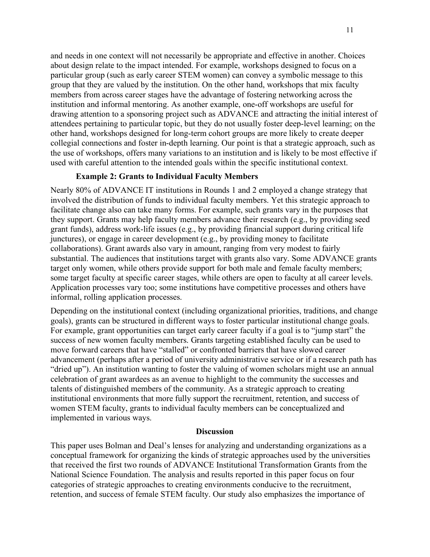and needs in one context will not necessarily be appropriate and effective in another. Choices about design relate to the impact intended. For example, workshops designed to focus on a particular group (such as early career STEM women) can convey a symbolic message to this group that they are valued by the institution. On the other hand, workshops that mix faculty members from across career stages have the advantage of fostering networking across the institution and informal mentoring. As another example, one-off workshops are useful for drawing attention to a sponsoring project such as ADVANCE and attracting the initial interest of attendees pertaining to particular topic, but they do not usually foster deep-level learning; on the other hand, workshops designed for long-term cohort groups are more likely to create deeper collegial connections and foster in-depth learning. Our point is that a strategic approach, such as the use of workshops, offers many variations to an institution and is likely to be most effective if used with careful attention to the intended goals within the specific institutional context.

#### **Example 2: Grants to Individual Faculty Members**

Nearly 80% of ADVANCE IT institutions in Rounds 1 and 2 employed a change strategy that involved the distribution of funds to individual faculty members. Yet this strategic approach to facilitate change also can take many forms. For example, such grants vary in the purposes that they support. Grants may help faculty members advance their research (e.g., by providing seed grant funds), address work-life issues (e.g., by providing financial support during critical life junctures), or engage in career development (e.g., by providing money to facilitate collaborations). Grant awards also vary in amount, ranging from very modest to fairly substantial. The audiences that institutions target with grants also vary. Some ADVANCE grants target only women, while others provide support for both male and female faculty members; some target faculty at specific career stages, while others are open to faculty at all career levels. Application processes vary too; some institutions have competitive processes and others have informal, rolling application processes.

Depending on the institutional context (including organizational priorities, traditions, and change goals), grants can be structured in different ways to foster particular institutional change goals. For example, grant opportunities can target early career faculty if a goal is to "jump start" the success of new women faculty members. Grants targeting established faculty can be used to move forward careers that have "stalled" or confronted barriers that have slowed career advancement (perhaps after a period of university administrative service or if a research path has "dried up"). An institution wanting to foster the valuing of women scholars might use an annual celebration of grant awardees as an avenue to highlight to the community the successes and talents of distinguished members of the community. As a strategic approach to creating institutional environments that more fully support the recruitment, retention, and success of women STEM faculty, grants to individual faculty members can be conceptualized and implemented in various ways.

#### **Discussion**

This paper uses Bolman and Deal's lenses for analyzing and understanding organizations as a conceptual framework for organizing the kinds of strategic approaches used by the universities that received the first two rounds of ADVANCE Institutional Transformation Grants from the National Science Foundation. The analysis and results reported in this paper focus on four categories of strategic approaches to creating environments conducive to the recruitment, retention, and success of female STEM faculty. Our study also emphasizes the importance of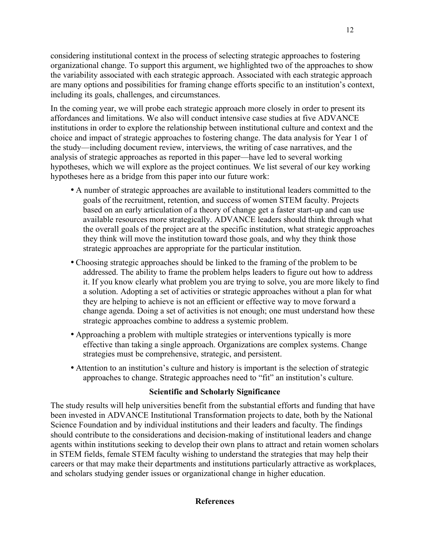considering institutional context in the process of selecting strategic approaches to fostering organizational change. To support this argument, we highlighted two of the approaches to show the variability associated with each strategic approach. Associated with each strategic approach are many options and possibilities for framing change efforts specific to an institution's context, including its goals, challenges, and circumstances.

In the coming year, we will probe each strategic approach more closely in order to present its affordances and limitations. We also will conduct intensive case studies at five ADVANCE institutions in order to explore the relationship between institutional culture and context and the choice and impact of strategic approaches to fostering change. The data analysis for Year 1 of the study—including document review, interviews, the writing of case narratives, and the analysis of strategic approaches as reported in this paper—have led to several working hypotheses, which we will explore as the project continues. We list several of our key working hypotheses here as a bridge from this paper into our future work:

- A number of strategic approaches are available to institutional leaders committed to the goals of the recruitment, retention, and success of women STEM faculty. Projects based on an early articulation of a theory of change get a faster start-up and can use available resources more strategically. ADVANCE leaders should think through what the overall goals of the project are at the specific institution, what strategic approaches they think will move the institution toward those goals, and why they think those strategic approaches are appropriate for the particular institution.
- Choosing strategic approaches should be linked to the framing of the problem to be addressed. The ability to frame the problem helps leaders to figure out how to address it. If you know clearly what problem you are trying to solve, you are more likely to find a solution. Adopting a set of activities or strategic approaches without a plan for what they are helping to achieve is not an efficient or effective way to move forward a change agenda. Doing a set of activities is not enough; one must understand how these strategic approaches combine to address a systemic problem.
- Approaching a problem with multiple strategies or interventions typically is more effective than taking a single approach. Organizations are complex systems. Change strategies must be comprehensive, strategic, and persistent.
- Attention to an institution's culture and history is important is the selection of strategic approaches to change. Strategic approaches need to "fit" an institution's culture.

## **Scientific and Scholarly Significance**

The study results will help universities benefit from the substantial efforts and funding that have been invested in ADVANCE Institutional Transformation projects to date, both by the National Science Foundation and by individual institutions and their leaders and faculty. The findings should contribute to the considerations and decision-making of institutional leaders and change agents within institutions seeking to develop their own plans to attract and retain women scholars in STEM fields, female STEM faculty wishing to understand the strategies that may help their careers or that may make their departments and institutions particularly attractive as workplaces, and scholars studying gender issues or organizational change in higher education.

## **References**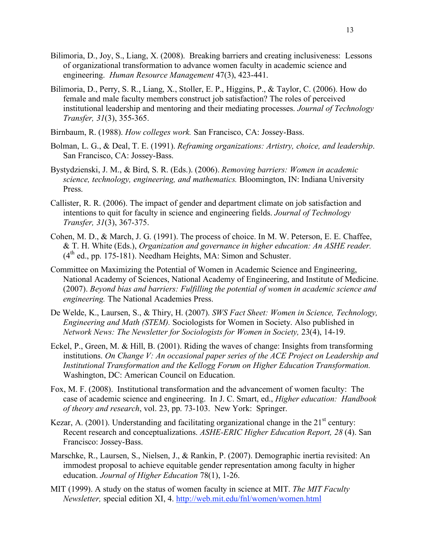- Bilimoria, D., Joy, S., Liang, X. (2008). Breaking barriers and creating inclusiveness: Lessons of organizational transformation to advance women faculty in academic science and engineering. *Human Resource Management* 47(3), 423-441.
- Bilimoria, D., Perry, S. R., Liang, X., Stoller, E. P., Higgins, P., & Taylor, C. (2006). How do female and male faculty members construct job satisfaction? The roles of perceived institutional leadership and mentoring and their mediating processes. *Journal of Technology Transfer, 31*(3), 355-365.
- Birnbaum, R. (1988). *How colleges work.* San Francisco, CA: Jossey-Bass.
- Bolman, L. G., & Deal, T. E. (1991). *Reframing organizations: Artistry, choice, and leadership*. San Francisco, CA: Jossey-Bass.
- Bystydzienski, J. M., & Bird, S. R. (Eds.). (2006). *Removing barriers: Women in academic science, technology, engineering, and mathematics.* Bloomington, IN: Indiana University Press.
- Callister, R. R. (2006). The impact of gender and department climate on job satisfaction and intentions to quit for faculty in science and engineering fields. *Journal of Technology Transfer, 31*(3), 367-375.
- Cohen, M. D., & March, J. G. (1991). The process of choice. In M. W. Peterson, E. E. Chaffee, & T. H. White (Eds.), *Organization and governance in higher education: An ASHE reader.*  $(4<sup>th</sup>$  ed., pp. 175-181). Needham Heights, MA: Simon and Schuster.
- Committee on Maximizing the Potential of Women in Academic Science and Engineering, National Academy of Sciences, National Academy of Engineering, and Institute of Medicine. (2007). *Beyond bias and barriers: Fulfilling the potential of women in academic science and engineering.* The National Academies Press.
- De Welde, K., Laursen, S., & Thiry, H. (2007). *SWS Fact Sheet: Women in Science, Technology, Engineering and Math (STEM).* Sociologists for Women in Society. Also published in *Network News: The Newsletter for Sociologists for Women in Society,* 23(4), 14-19.
- Eckel, P., Green, M. & Hill, B. (2001). Riding the waves of change: Insights from transforming institutions. *On Change V: An occasional paper series of the ACE Project on Leadership and Institutional Transformation and the Kellogg Forum on Higher Education Transformation.* Washington, DC: American Council on Education.
- Fox, M. F. (2008). Institutional transformation and the advancement of women faculty: The case of academic science and engineering. In J. C. Smart, ed., *Higher education: Handbook of theory and research*, vol. 23, pp. 73-103. New York: Springer.
- Kezar, A. (2001). Understanding and facilitating organizational change in the  $21<sup>st</sup>$  century: Recent research and conceptualizations. *ASHE-ERIC Higher Education Report, 28* (4). San Francisco: Jossey-Bass.
- Marschke, R., Laursen, S., Nielsen, J., & Rankin, P. (2007). Demographic inertia revisited: An immodest proposal to achieve equitable gender representation among faculty in higher education. *Journal of Higher Education* 78(1), 1-26.
- MIT (1999). A study on the status of women faculty in science at MIT. *The MIT Faculty Newsletter,* special edition XI, 4. http://web.mit.edu/fnl/women/women.html